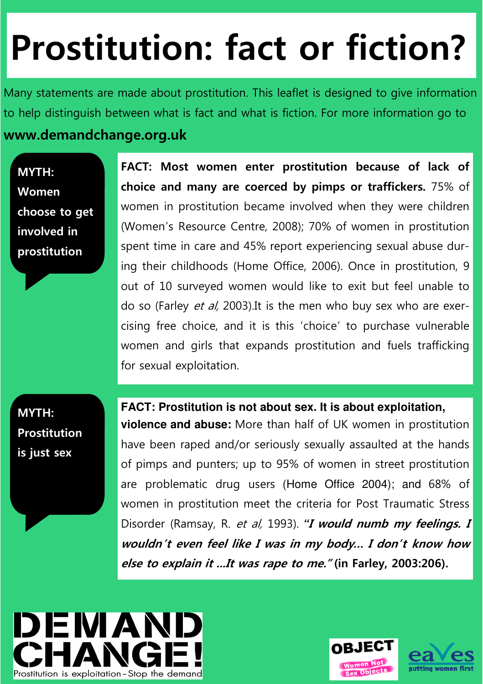## **Prostitution: fact or fiction?**

Many statements are made about prostitution. This leaflet is designed to give information to help distinguish between what is fact and what is fiction. For more information go to

## **www.demandchange.org.uk**

**MYTH: Women choose to get involved in prostitution** 

**FACT: Most women enter prostitution because of lack of choice and many are coerced by pimps or traffickers.** 75% of women in prostitution became involved when they were children (Women's Resource Centre, 2008); 70% of women in prostitution spent time in care and 45% report experiencing sexual abuse during their childhoods (Home Office, 2006). Once in prostitution, 9 out of 10 surveyed women would like to exit but feel unable to do so (Farley *et al*, 2003). It is the men who buy sex who are exercising free choice, and it is this 'choice' to purchase vulnerable women and girls that expands prostitution and fuels trafficking for sexual exploitation.

**MYTH: Prostitution is just sex** 

**FACT: Prostitution is not about sex. It is about exploitation,** 

**violence and abuse:** More than half of UK women in prostitution have been raped and/or seriously sexually assaulted at the hands of pimps and punters; up to 95% of women in street prostitution are problematic drug users (Home Office 2004); and 68% of women in prostitution meet the criteria for Post Traumatic Stress Disorder (Ramsay, R. et al, 1993). **"I would numb my feelings. I wouldn't even feel like I was in my body… I don't know how else to explain it ...It was rape to me." (in Farley, 2003:206).**



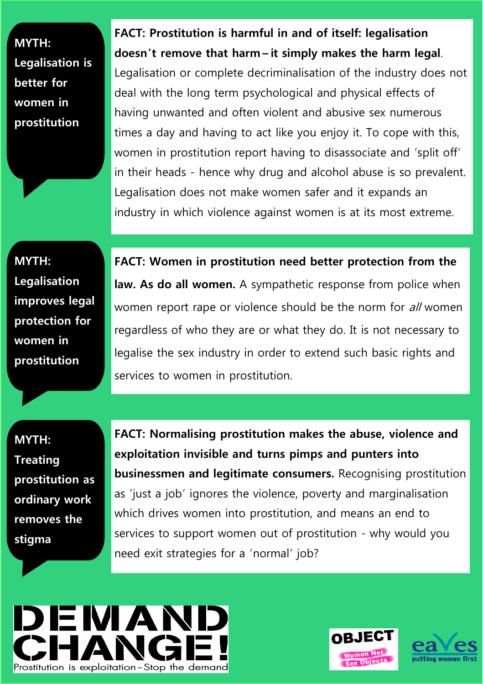**MYTH: Legalisation is better for women in prostitution** 

**MYTH: Legalisation improves legal protection for women in prostitution** 

**FACT: Prostitution is harmful in and of itself: legalisation doesn't remove that harm – it simply makes the harm legal**. Legalisation or complete decriminalisation of the industry does not deal with the long term psychological and physical effects of having unwanted and often violent and abusive sex numerous times a day and having to act like you enjoy it. To cope with this, women in prostitution report having to disassociate and 'split off' in their heads - hence why drug and alcohol abuse is so prevalent. Legalisation does not make women safer and it expands an industry in which violence against women is at its most extreme.

**FACT: Women in prostitution need better protection from the law. As do all women.** A sympathetic response from police when women report rape or violence should be the norm for all women regardless of who they are or what they do. It is not necessary to legalise the sex industry in order to extend such basic rights and services to women in prostitution.

**MYTH: Treating prostitution as ordinary work removes the stigma** 

**FACT: Normalising prostitution makes the abuse, violence and exploitation invisible and turns pimps and punters into businessmen and legitimate consumers.** Recognising prostitution as 'just a job' ignores the violence, poverty and marginalisation which drives women into prostitution, and means an end to services to support women out of prostitution - why would you need exit strategies for a 'normal' job?





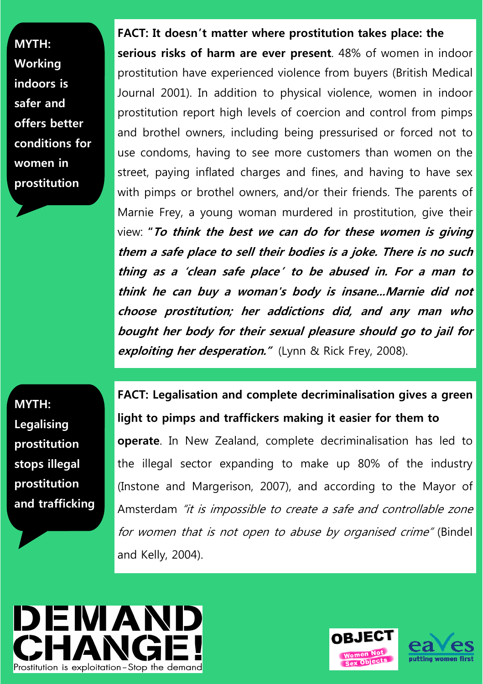**MYTH: Working indoors is safer and offers better conditions for women in prostitution** 

**FACT: It doesn't matter where prostitution takes place: the serious risks of harm are ever present**. 48% of women in indoor prostitution have experienced violence from buyers (British Medical Journal 2001). In addition to physical violence, women in indoor prostitution report high levels of coercion and control from pimps and brothel owners, including being pressurised or forced not to use condoms, having to see more customers than women on the street, paying inflated charges and fines, and having to have sex with pimps or brothel owners, and/or their friends. The parents of Marnie Frey, a young woman murdered in prostitution, give their view: **"To think the best we can do for these women is giving them a safe place to sell their bodies is a joke. There is no such thing as a 'clean safe place' to be abused in. For a man to think he can buy a woman's body is insane...Marnie did not choose prostitution; her addictions did, and any man who bought her body for their sexual pleasure should go to jail for exploiting her desperation."** (Lynn & Rick Frey, 2008).

**MYTH: Legalising prostitution stops illegal prostitution and trafficking** 

**FACT: Legalisation and complete decriminalisation gives a green light to pimps and traffickers making it easier for them to operate**. In New Zealand, complete decriminalisation has led to the illegal sector expanding to make up 80% of the industry (Instone and Margerison, 2007), and according to the Mayor of Amsterdam "it is impossible to create a safe and controllable zone for women that is not open to abuse by organised crime" (Bindel and Kelly, 2004).